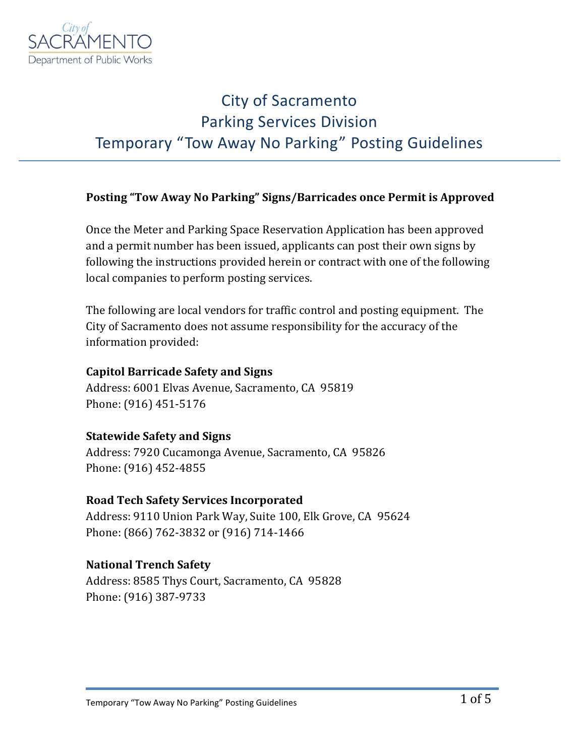

### City of Sacramento Parking Services Division Temporary "Tow Away No Parking" Posting Guidelines

#### **Posting "Tow Away No Parking" Signs/Barricades once Permit is Approved**

Once the Meter and Parking Space Reservation Application has been approved and a permit number has been issued, applicants can post their own signs by following the instructions provided herein or contract with one of the following local companies to perform posting services.

The following are local vendors for traffic control and posting equipment. The City of Sacramento does not assume responsibility for the accuracy of the information provided:

#### **Capitol Barricade Safety and Signs**

Address: 6001 Elvas Avenue, Sacramento, CA 95819 Phone: (916) 451-5176

#### **Statewide Safety and Signs**

Address: 7920 Cucamonga Avenue, Sacramento, CA 95826 Phone: (916) 452-4855

#### **Road Tech Safety Services Incorporated**

Address: 9110 Union Park Way, Suite 100, Elk Grove, CA 95624 Phone: (866) 762-3832 or (916) 714-1466

#### **National Trench Safety**

Address: 8585 Thys Court, Sacramento, CA 95828 Phone: (916) 387-9733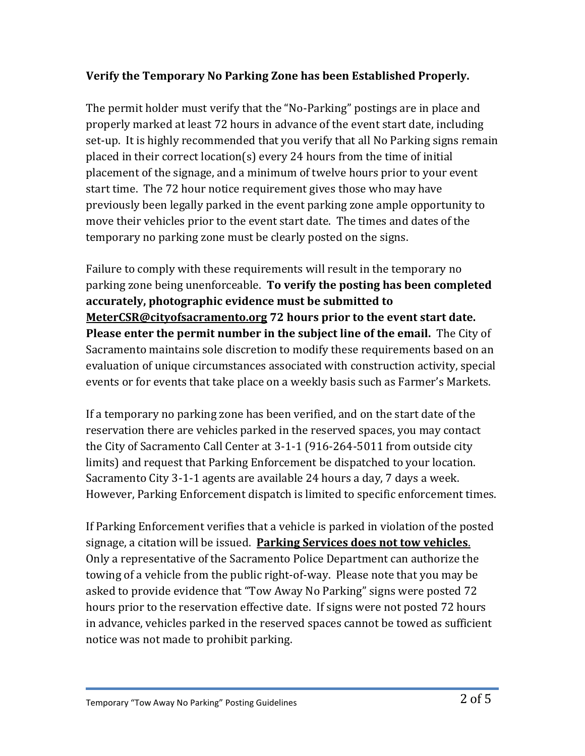### **Verify the Temporary No Parking Zone has been Established Properly.**

The permit holder must verify that the "No-Parking" postings are in place and properly marked at least 72 hours in advance of the event start date, including set-up. It is highly recommended that you verify that all No Parking signs remain placed in their correct location(s) every 24 hours from the time of initial placement of the signage, and a minimum of twelve hours prior to your event start time. The 72 hour notice requirement gives those who may have previously been legally parked in the event parking zone ample opportunity to move their vehicles prior to the event start date. The times and dates of the temporary no parking zone must be clearly posted on the signs.

Failure to comply with these requirements will result in the temporary no parking zone being unenforceable. **To verify the posting has been completed accurately, photographic evidence must be submitted to MeterCSR@cityofsacramento.org 72 hours prior to the event start date. Please enter the permit number in the subject line of the email.** The City of Sacramento maintains sole discretion to modify these requirements based on an evaluation of unique circumstances associated with construction activity, special events or for events that take place on a weekly basis such as Farmer's Markets.

If a temporary no parking zone has been verified, and on the start date of the reservation there are vehicles parked in the reserved spaces, you may contact the City of Sacramento Call Center at 3-1-1 (916-264-5011 from outside city limits) and request that Parking Enforcement be dispatched to your location. Sacramento City 3-1-1 agents are available 24 hours a day, 7 days a week. However, Parking Enforcement dispatch is limited to specific enforcement times.

If Parking Enforcement verifies that a vehicle is parked in violation of the posted signage, a citation will be issued. **Parking Services does not tow vehicles**. Only a representative of the Sacramento Police Department can authorize the towing of a vehicle from the public right-of-way. Please note that you may be asked to provide evidence that "Tow Away No Parking" signs were posted 72 hours prior to the reservation effective date. If signs were not posted 72 hours in advance, vehicles parked in the reserved spaces cannot be towed as sufficient notice was not made to prohibit parking.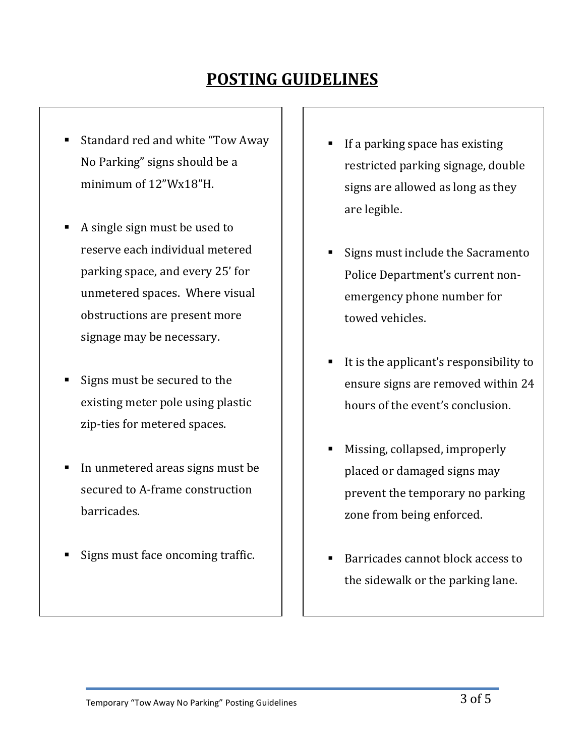# **POSTING GUIDELINES**

- Standard red and white "Tow Away No Parking" signs should be a minimum of 12"Wx18"H.
- A single sign must be used to reserve each individual metered parking space, and every 25' for unmetered spaces. Where visual obstructions are present more signage may be necessary.
- Signs must be secured to the existing meter pole using plastic zip-ties for metered spaces.
- In unmetered areas signs must be secured to A-frame construction barricades.
- Signs must face oncoming traffic.
- If a parking space has existing restricted parking signage, double signs are allowed as long as they are legible.
- Signs must include the Sacramento Police Department's current nonemergency phone number for towed vehicles.
- It is the applicant's responsibility to ensure signs are removed within 24 hours of the event's conclusion.
- Missing, collapsed, improperly placed or damaged signs may prevent the temporary no parking zone from being enforced.
- Barricades cannot block access to the sidewalk or the parking lane.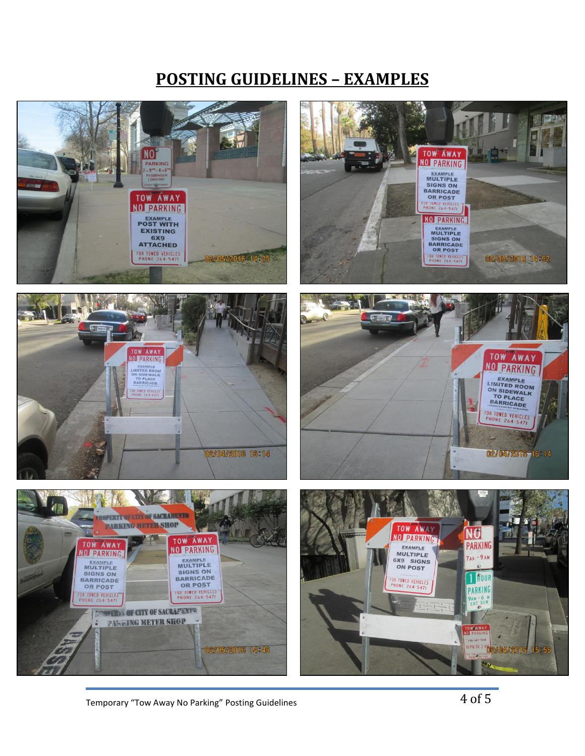### **POSTING GUIDELINES – EXAMPLES**



Temporary "Tow Away No Parking" Posting Guidelines  $4 \text{ of } 5$